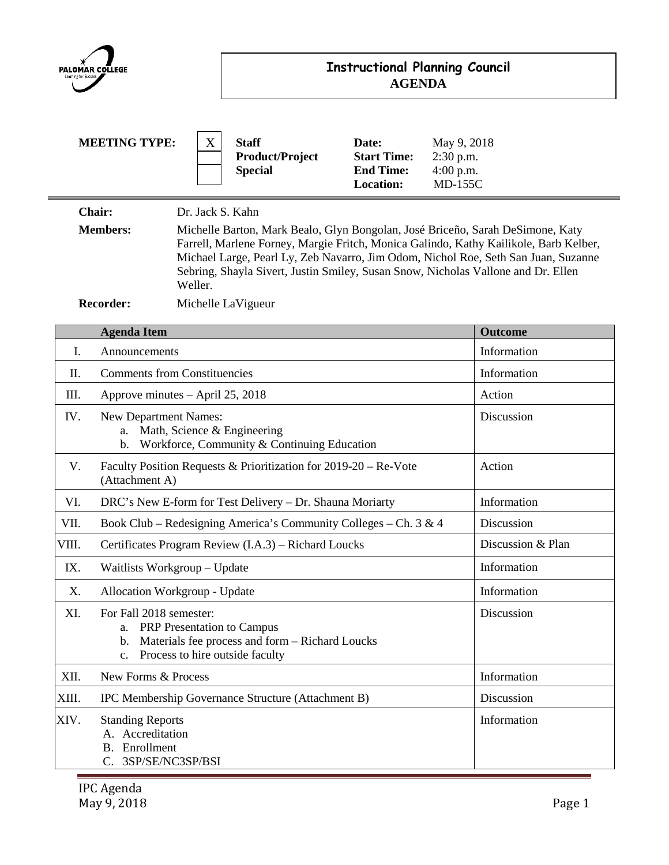| PALOMAR COLLEGE |                                                                                                                                                               | <b>Instructional Planning Council</b><br><b>AGENDA</b>           |                                                          |                                                              |                                                                                                                                                                                                                                                                                                                                                    |
|-----------------|---------------------------------------------------------------------------------------------------------------------------------------------------------------|------------------------------------------------------------------|----------------------------------------------------------|--------------------------------------------------------------|----------------------------------------------------------------------------------------------------------------------------------------------------------------------------------------------------------------------------------------------------------------------------------------------------------------------------------------------------|
|                 | <b>MEETING TYPE:</b>                                                                                                                                          | X                                                                | <b>Staff</b><br><b>Product/Project</b><br><b>Special</b> | Date:<br><b>Start Time:</b><br><b>End Time:</b><br>Location: | May 9, 2018<br>2:30 p.m.<br>$4:00$ p.m.<br><b>MD-155C</b>                                                                                                                                                                                                                                                                                          |
|                 | Chair:<br><b>Members:</b>                                                                                                                                     | Dr. Jack S. Kahn<br>Weller.                                      |                                                          |                                                              | Michelle Barton, Mark Bealo, Glyn Bongolan, José Briceño, Sarah DeSimone, Katy<br>Farrell, Marlene Forney, Margie Fritch, Monica Galindo, Kathy Kailikole, Barb Kelber,<br>Michael Large, Pearl Ly, Zeb Navarro, Jim Odom, Nichol Roe, Seth San Juan, Suzanne<br>Sebring, Shayla Sivert, Justin Smiley, Susan Snow, Nicholas Vallone and Dr. Ellen |
|                 | <b>Recorder:</b>                                                                                                                                              |                                                                  | Michelle LaVigueur                                       |                                                              |                                                                                                                                                                                                                                                                                                                                                    |
|                 | <b>Agenda Item</b>                                                                                                                                            |                                                                  |                                                          |                                                              | <b>Outcome</b>                                                                                                                                                                                                                                                                                                                                     |
| I.              | Announcements                                                                                                                                                 |                                                                  |                                                          |                                                              | Information                                                                                                                                                                                                                                                                                                                                        |
| Π.              | <b>Comments from Constituencies</b>                                                                                                                           |                                                                  |                                                          |                                                              | Information                                                                                                                                                                                                                                                                                                                                        |
| III.            | Approve minutes – April 25, 2018                                                                                                                              |                                                                  |                                                          |                                                              | Action                                                                                                                                                                                                                                                                                                                                             |
| IV.             | New Department Names:<br>Math, Science & Engineering<br>a.<br>Workforce, Community & Continuing Education<br>$\mathbf b$ .                                    |                                                                  |                                                          |                                                              | Discussion                                                                                                                                                                                                                                                                                                                                         |
| V.              | Faculty Position Requests & Prioritization for 2019-20 – Re-Vote<br>(Attachment A)                                                                            |                                                                  |                                                          |                                                              | Action                                                                                                                                                                                                                                                                                                                                             |
| VI.             | DRC's New E-form for Test Delivery - Dr. Shauna Moriarty                                                                                                      |                                                                  |                                                          |                                                              | Information                                                                                                                                                                                                                                                                                                                                        |
| VII.            |                                                                                                                                                               | Book Club – Redesigning America's Community Colleges – Ch. 3 & 4 |                                                          |                                                              |                                                                                                                                                                                                                                                                                                                                                    |
| VIII.           | Certificates Program Review (I.A.3) - Richard Loucks                                                                                                          |                                                                  |                                                          | Discussion & Plan                                            |                                                                                                                                                                                                                                                                                                                                                    |
| IX.             | Waitlists Workgroup - Update                                                                                                                                  |                                                                  |                                                          | Information                                                  |                                                                                                                                                                                                                                                                                                                                                    |
| Χ.              | Allocation Workgroup - Update                                                                                                                                 |                                                                  |                                                          | Information                                                  |                                                                                                                                                                                                                                                                                                                                                    |
| XI.             | For Fall 2018 semester:<br>PRP Presentation to Campus<br>a.<br>Materials fee process and form - Richard Loucks<br>b.<br>Process to hire outside faculty<br>c. |                                                                  |                                                          |                                                              | Discussion                                                                                                                                                                                                                                                                                                                                         |
| XII.            | New Forms & Process                                                                                                                                           |                                                                  |                                                          |                                                              | Information                                                                                                                                                                                                                                                                                                                                        |
| XIII.           | IPC Membership Governance Structure (Attachment B)                                                                                                            |                                                                  |                                                          |                                                              | Discussion                                                                                                                                                                                                                                                                                                                                         |
| XIV.            | <b>Standing Reports</b><br>A. Accreditation<br><b>B.</b> Enrollment                                                                                           |                                                                  |                                                          |                                                              | Information                                                                                                                                                                                                                                                                                                                                        |

C. 3SP/SE/NC3SP/BSI